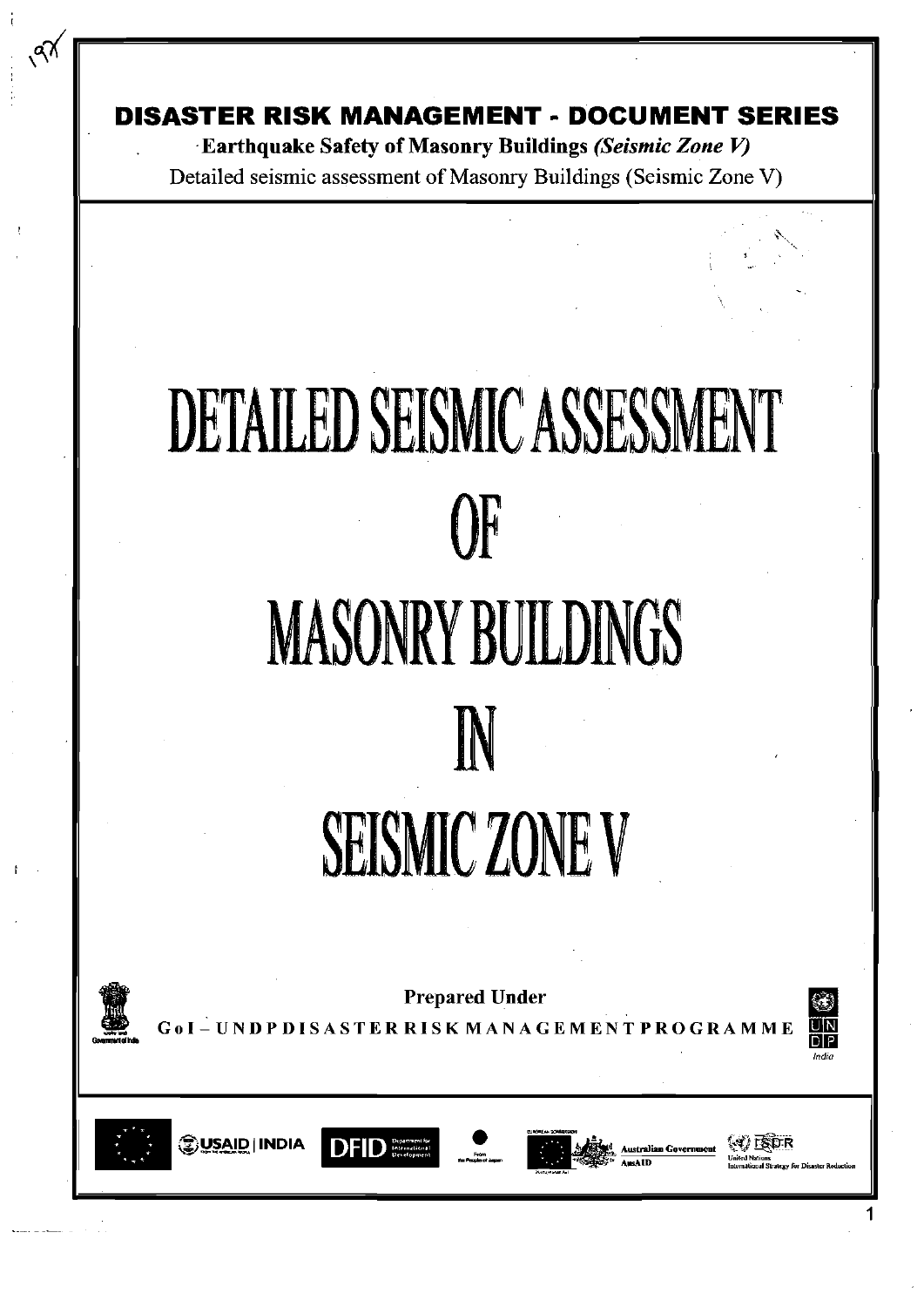**DISASTER RISK MANAGEMENT - DOCUMENT SERIES** 

Earthquake Safety of Masonry Buildings (Seismic Zone V) Detailed seismic assessment of Masonry Buildings (Seismic Zone V)

# **DETAILED SEISMIC ASSESSMENT**  $\Omega$ **MASONRY BUILDINGS** N **SEISMIC ZONE V**



 $\sqrt{3}$ 

**Prepared Under** 

SASTER RISK MANAGEMENT PROGRAMME





<mark>⊜USAID | INDIA</mark>





 $\langle$  1) isor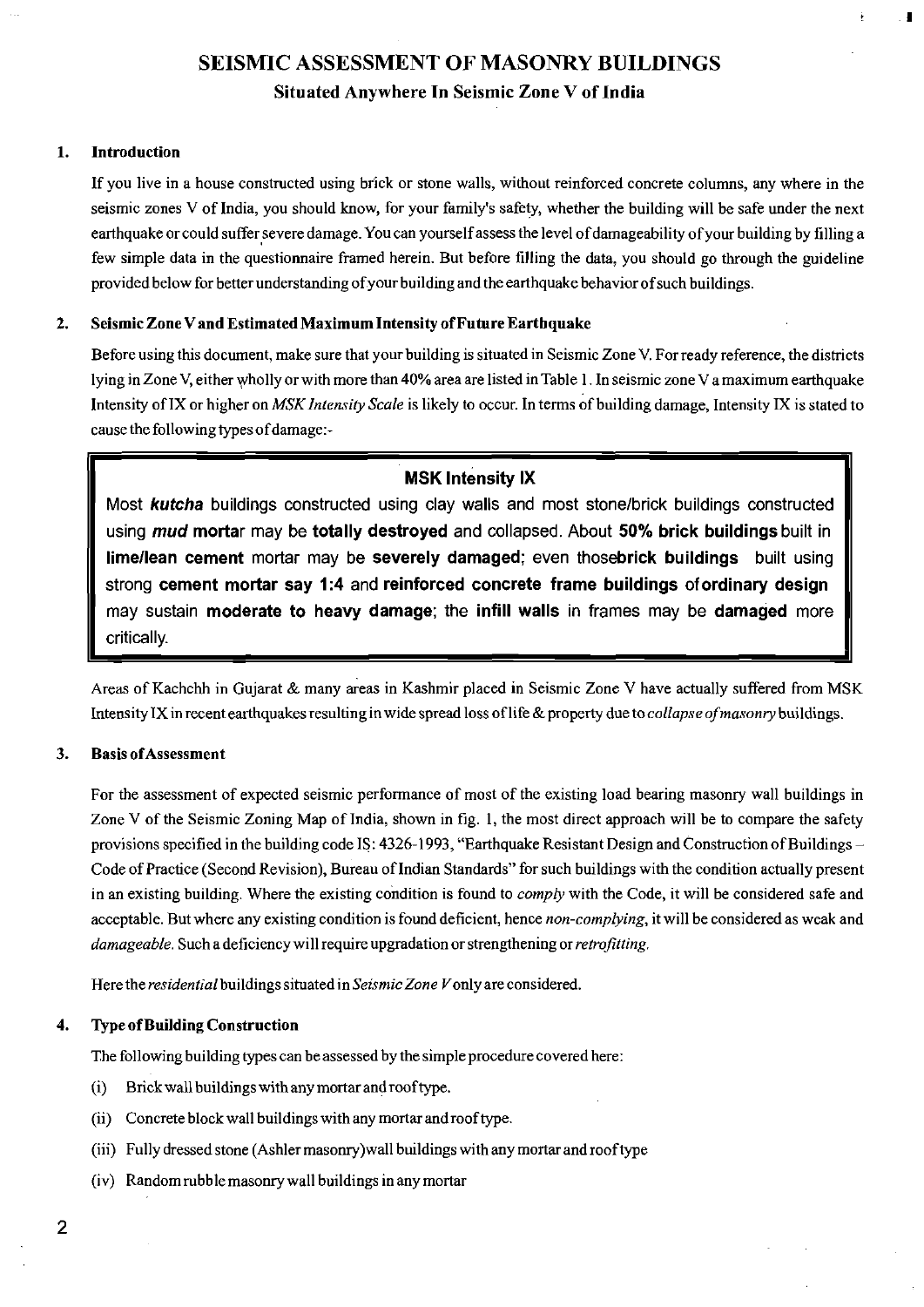## **SEISMIC ASSESSMENT OF MASONRY BUILDINGS**

#### **Situated Anywhere In Seismic Zone V of India**

#### **1. Introduction**

If you live in a house constructed using brick or stone walls, without reinforced concrete columns, any where in the seismic zones V of India, you should know, for your family's safety, whether the building will be safe under the next earthquake or could suffer severe damage. You can yourself assess the level of damageability of your building by filling a few simple data in the questionnaire framed herein. But before filling the data, you should go through the guideline provided below for better understanding of your building and the earthquake behavior of such buildings.

#### **2. Seismic Zone V and Estimated Maximum Intensity of Future Earthquake**

Before using this document, make sure that your building is situated in Seismic Zone V. For ready reference, the districts lying in Zone V, either wholly or with more than 40% area are listed in Table 1. In seismic zone V a maximum earthquake Intensity of IX or higher on *MSK Intensity Scale* is likely to occur In terms of building damage, Intensity IX is stated to cause the following types of damage:-

#### **MSK Intensity IX**

Most *kutcha* buildings constructed using clay walls and most stone/brick buildings constructed using *mud* **mortar** may be **totally destroyed** and collapsed. About **50% brick buildings** built in **lime/lean cement mortar may** be **severely damaged;** even **thosebrick buildings** built using strong **cement mortar say 1:4** and **reinforced concrete frame buildings** of **ordinary design**  may sustain **moderate to heavy damage;** the **infill walls** in frames may be **damaged** more critically.

Areas of Kachchh in Gujarat & many areas in Kashmir placed in Seismic Zone V have actually suffered from MSK Intensity IX in recent earthquakes resulting in wide spread loss of life & property due to *collapse ofmasonry* buildings.

#### **3. Basis of Assessment**

For the assessment of expected seismic performance of most of the existing load bearing masonry wall buildings in Zone V of the Seismic Zoning Map of India, shown in fig. 1, the most direct approach will be to compare the safety provisions specified in the building code IS:  $4326-1993$ , "Earthquake Resistant Design and Construction of Buildings – Code of Practice (Second Revision), Bureau of Indian Standards" for such buildings with the condition actually present in an existing building. Where the existing condition is found to *comply* with the Code, it will be considered safe and acceptable. But where any existing condition is found deficient, hence *non-complying,* it will be considered as weak and *damageable.* Such a deficiency will require upgradation or strengthening or *retrofitting.* 

Here the *residential* buildings situated in *Seismic Zone V* only are considered.

#### **4. Type of Building Construction**

The following building types can be assessed by the simple procedure covered here:

- (i) Brick wall buildings with any mortar and roof type.
- (ii) Concrete block wall buildings with any mortar and roof type.
- (iii) Fully dressed stone (Ashler masonry)wall buildings with any mortar and roof type
- (iv) Random rubble masonry wall buildings in any mortar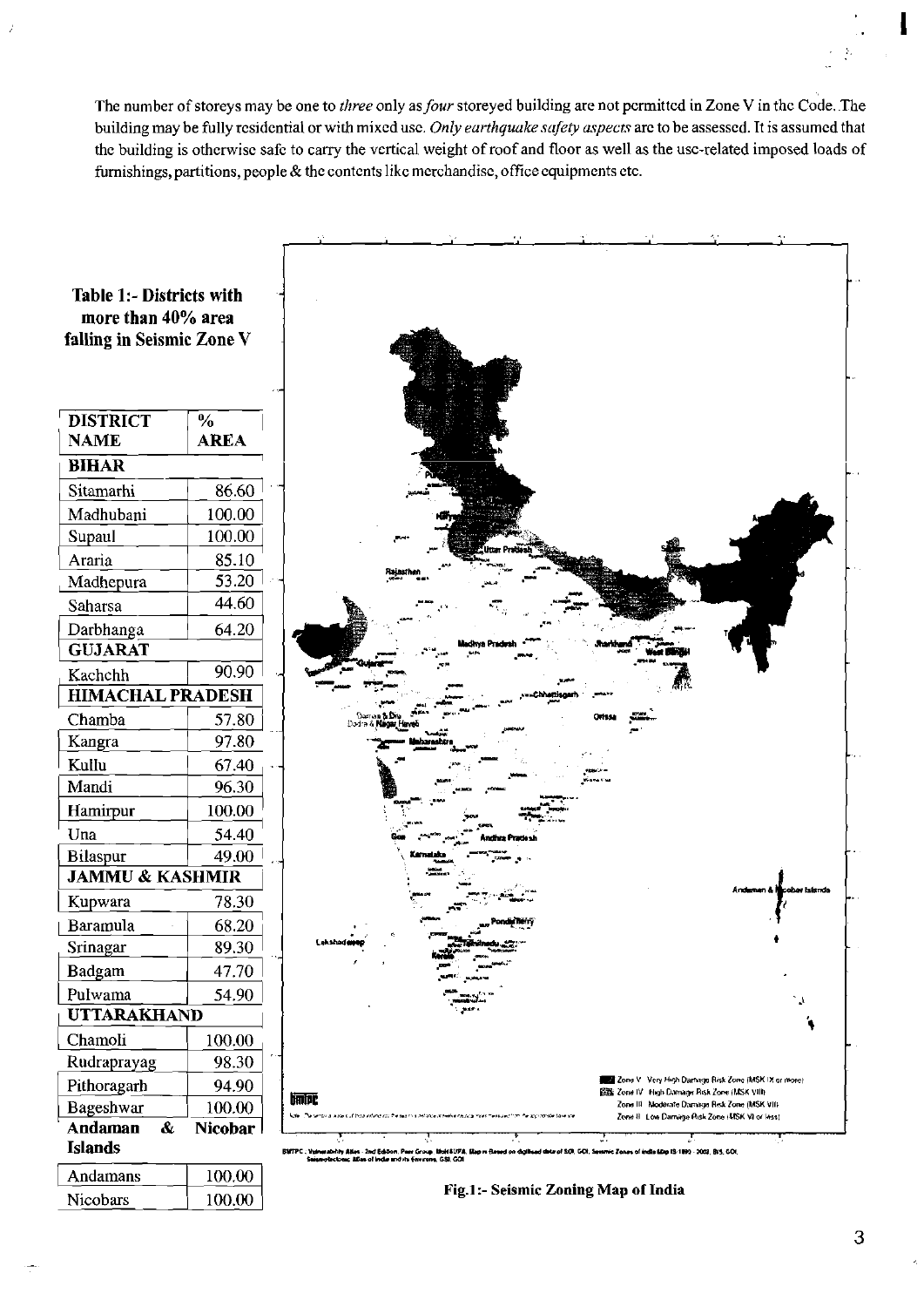The number of storeys may be one to three only as four storeyed building are not permitted in Zone V in the Code. The building may be fully residential or with mixed use. Only earthquake safety aspects are to be assessed. It is assumed that the building is otherwise safe to carry the vertical weight of roof and floor as well as the use-related imposed loads of furnishings, partitions, people  $\&$  the contents like merchandise, office equipments etc.



Nicobars

100.00

3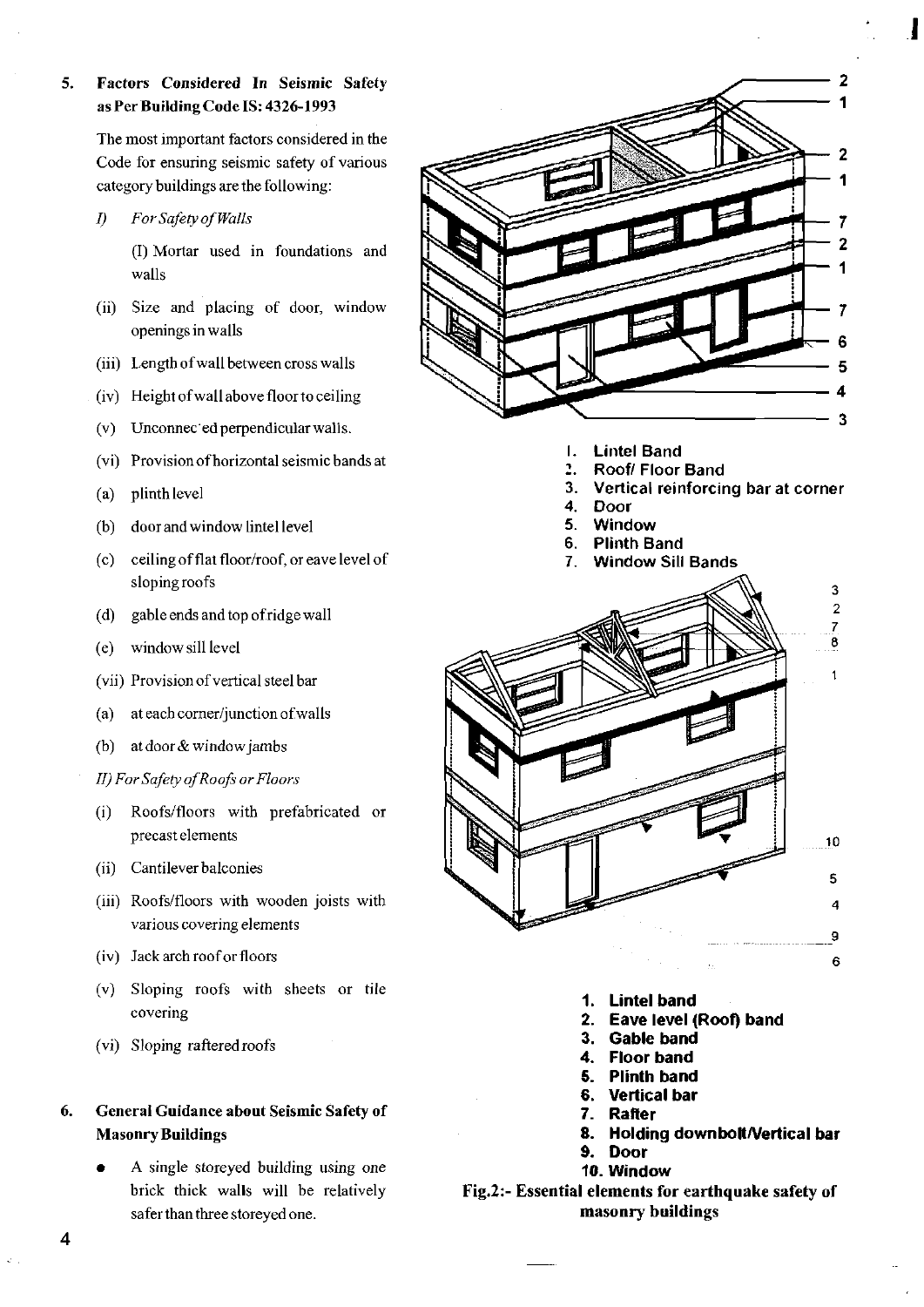#### **5. Factors Considered In Seismic Safety as Per Building Code IS: 4326-1993**

The most important factors considered in the Code for ensuring seismic safety of various category buildings are the following:

*I) For Safety of Walls* 

(I) Mortar used in foundations and walls

- (ii) Size and placing of door, window openings in walls
- (iii) Length of wall between cross walls
- (iv) Height ofwall above floor to ceiling
- $(v)$  Unconnected perpendicular walls.
- (vi) Provision of horizontal seismic bands at
- (a) plinth level
- (b) door and window lintel level
- (c) ceiling of flat floor/roof, or eave level of sloping roofs
- (d) gable ends and top of ridge wall
- (e) window sill level
- (vii) Provision of vertical steel bar
- (a) at each comer/junction of walls
- (b) at door & window jambs
- *II) For Safety of Roofs or Floors*
- (i) Roofs/floors with prefabricated or precast elements
- (ii) Cantilever balconies
- (iii) Roofs/floors with wooden joists with various covering elements
- (iv) Jack arch roof or floors
- (v) Sloping roofs with sheets or tile covering
- (vi) Sloping raftered roofs

**6. General Guidance about Seismic Safety of Masonry Buildings** 

> • A single storeyed building using one brick thick walls will be relatively safer than three storeyed one.



- **I. Lintel Band**
- **-) Roof/ Floor Band**
- 3. **Vertical reinforcing bar at corner**
- $\mathbf{A}$ **Door**
- 5. **Window**
- **Plinth Band**  6.
- **Window Sill Bands**  7.



- **1. Lintel band**
- **2. Eave level (Roof) band**
- **3. Gable band**
- **4. Floor band**
- **5. Plinth band**
- **6. Vertical bar**
- **7. Rafter**
- **8. Holding downboltA/ertical bar**
- **9. Door 10. Window**

### **Fig.2:- Essential elements for earthquake safety of masonry buildings**

 $\overline{\mathbf{4}}$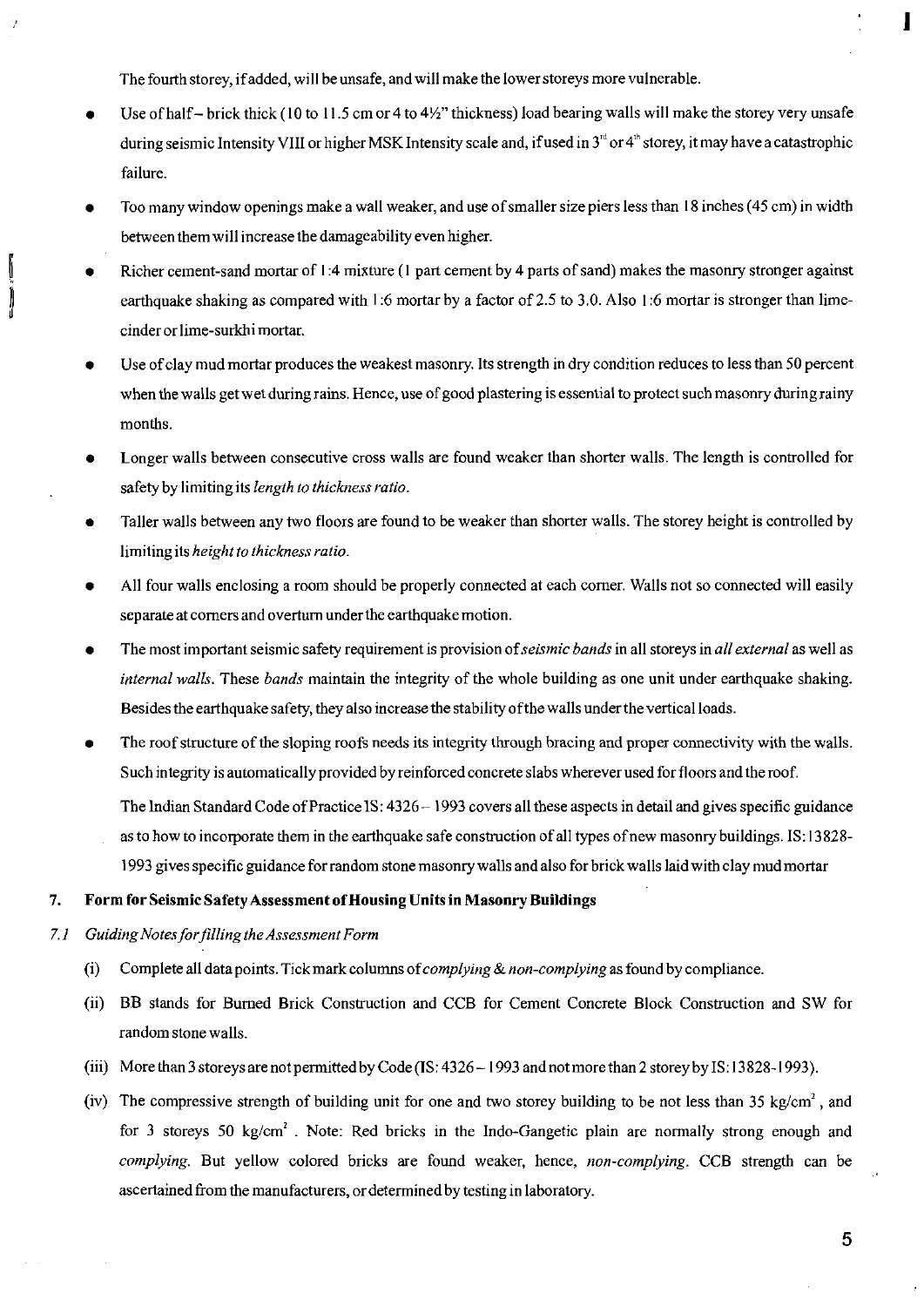The fourth storey, if added, will be unsafe, and will make the lower storeys more vulnerable.

- Use of half- brick thick (10 to 11.5 cm or 4 to  $4\frac{1}{2}$ " thickness) load bearing walls will make the storey very unsafe during seismic Intensity VIII or higher MSK Intensity scale and, if used in  $3<sup>rd</sup>$  or 4<sup>th</sup> storey, it may have a catastrophic failure.
- Too many window openings make a wall weaker, and use of smaller size piers less than 18 inches (45 cm) in width between them will increase the damageability even higher.
- Richer cement-sand mortar of 1:4 mixture (1 part cement by 4 parts of sand) makes the masonry stronger against earthquake shaking as compared with 1:6 mortar by a factor of 2.5 to 3.0. Also 1:6 mortar is stronger than limecinder or lime-surkhi mortar.
- Use of clay mud mortar produces the weakest masonry. Its strength in dry condition reduces to less than 50 percent when the walls get wet during rains. Hence, use of good plastering is essential to protect such masonry during rainy months.
- Longer walls between consecutive cross walls are found weaker than shorter walls. The length is controlled for safety by limiting its *length to thickness ratio.*
- Taller walls between any two floors are found to be weaker than shorter walls. The storey height is controlled by limiting its *height to thickness ratio.*
- All four walls enclosing a room should be properly connected at each corner. Walls not so connected will easily separate at comers and overtum under the earthquake motion.
- The most important seismic safety requirement is provision of *seismic bands* in all storeys in *all external* as well as *internal walls.* These *bands* maintain the integrity of the whole building as one unit under earthquake shaking. Besides the earthquake safety, they also increase the stability of the walls under the vertical loads.
- The roof structure of the sloping roofs needs its integrity through bracing and proper connectivity with the walls. Such integrity is automatically provided by reinforced concrete slabs wherever used for floors and the roof.

The Indian Standard Code of Practice IS: 4326 - 1993 covers all these aspects in detail and gives specific guidance

as to how to incorporate them in the earthquake safe construction of all types of new masonry buildings. IS: 13828- 1993 gives specific guidance for random stone masonry walls and also for brick walls laid with clay mud mortar

#### **7. Form for Seismic Safety Assessment of Housing Units in Masonry Buildings**

#### 7.*1 Guiding Notes forfilling the Assessment Form*

- (i) Complete all data points. Tick mark columns of *complying & non-complying* as found by compliance.
- (ii) BB stands for Burned Brick Construction and CCB for Cement Concrete Block Construction and SW for random stone walls.
- (iii) More than 3 storeys are not permitted by Code (IS: 4326 -1993 and not more than 2 storey by IS: 13 828-1993).
- (iv) The compressive strength of building unit for one and two storey building to be not less than 35 kg/cm<sup>2</sup>, and for 3 storeys 50 kg/cm<sup>2</sup>. Note: Red bricks in the Indo-Gangetic plain are normally strong enough and *complying.* But yellow colored bricks are found weaker, hence, *non-complying.* CCB strength can be ascertained from the manufacturers, or determined by testing in laboratory.

L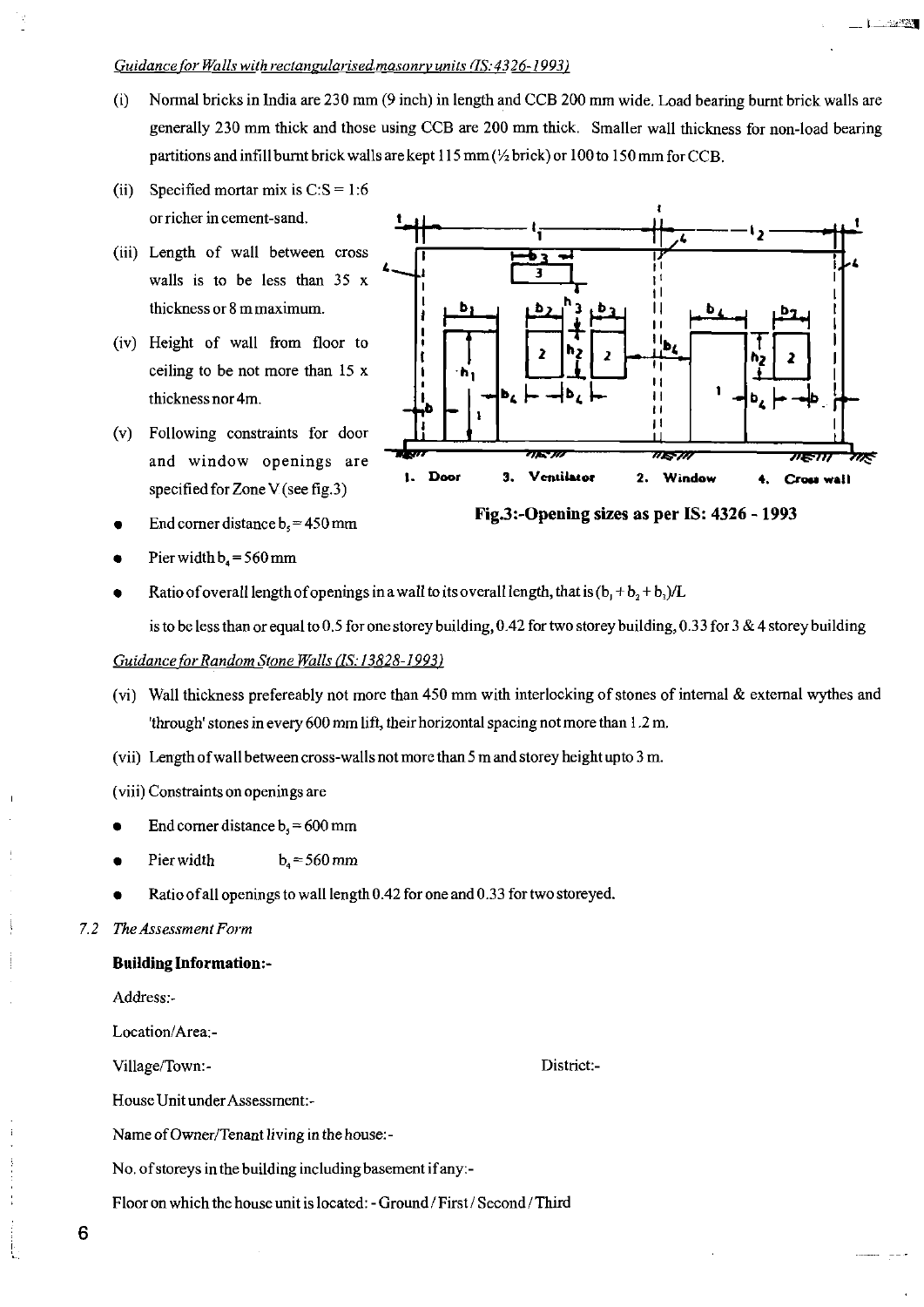#### Guidance for Walls with rectangularised masonry units (IS: 4326-1993)

- (i) Normal bricks in India are 230 mm (9 inch) in length and CCB 200 mm wide. Load bearing burnt brick walls are generally 230 mm thick and those using CCB are 200 mm thick. Smaller wall thickness for non-load bearing partitions and infill burnt brick walls are kept 115 mm {Y2 brick) or 100 to 150 mm for CCB.
- (ii) Specified mortar mix is  $C: S = 1:6$ or richer in cement-sand.
- (iii) Length of wall between cross walls is to be less than 35 x thickness or 8 m maximum.
- (iv) Height of wall from floor to ceiling to be not more than 15 x thickness nor 4m.
- (v) Following constraints for door and window openings are specified for Zone V (see fig.3)
- End corner distance  $b_5 = 450$  mm
- Pier width  $b_4 = 560$  mm



L. Lawson

**Fig.3:-Opening sizes as per IS: 4326 - 1993** 

Ratio of overall length of openings in a wall to its overall length, that is  $(b_1 + b_2 + b_3)/L$ 

is to be less than or equal to 0.5 for one storey building, 0.42 for two storey building, 0.33 for 3 & 4 storey building

#### *Guidance for Random Stone Walls (18:13828-1993)*

- (vi) Wall thickness prefereably not more than 450 mm with interlocking of stones of internal & external wythes and 'through' stones in every 600 mm lift, their horizontal spacing not more than 1.2 m.
- (vii) Length of wall between cross-walls not more than 5 m and storey height upto 3 m.
- (viii) Constraints on openings are
- End corner distance  $b<sub>s</sub> = 600$  mm
- Pier width  $b<sub>s</sub> = 560$  mm
- Ratio of all openings to wall length 0.42 for one and 0.33 for two storeyed.

#### 7.2 *The Assessment Form*

#### **Building Information:-**

Address:-

Location/Area:-

Village/Town:- District:-

House Unit under Assessment:-

Name of Owner/Tenant living in the house:-

No. of storeys in the building including basement if any:-

Floor on which the house unit is located: - Ground / First / Second / Third

**6**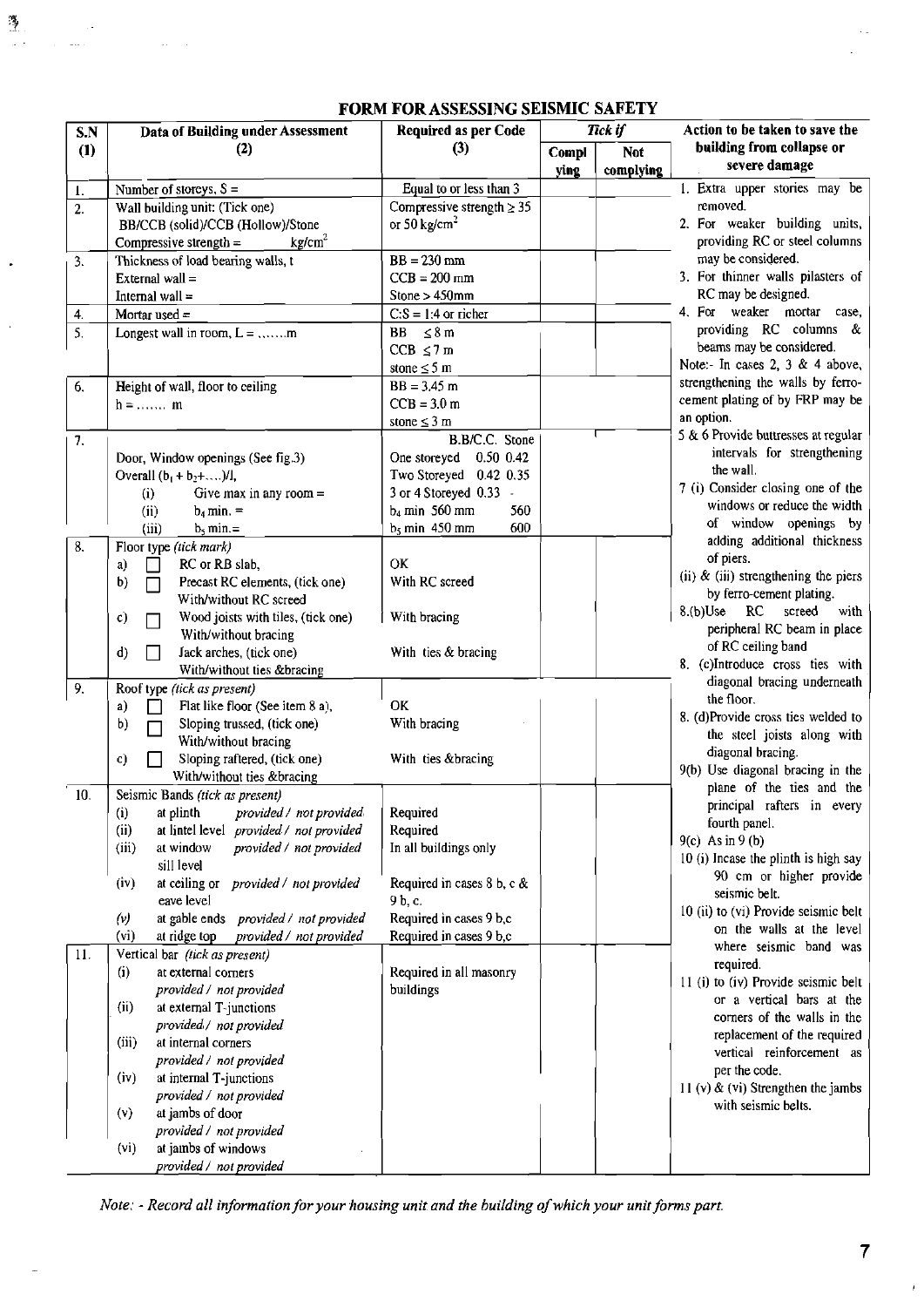| S.N | <b>Data of Building under Assessment</b>                         | <b>Required as per Code</b>       |               | Tick if                 | Action to be taken to save the                           |
|-----|------------------------------------------------------------------|-----------------------------------|---------------|-------------------------|----------------------------------------------------------|
| (1) | (2)                                                              | (3)                               | Compl<br>ying | <b>Not</b><br>complying | building from collapse or<br>severe damage               |
| 1.  | Number of storeys, $S =$                                         | Equal to or less than 3           |               |                         | 1. Extra upper stories may be                            |
| 2.  | Wall building unit: (Tick one)                                   | Compressive strength $\geq$ 35    |               |                         | removed.                                                 |
|     | BB/CCB (solid)/CCB (Hollow)/Stone                                | or 50 $kg/cm2$                    |               |                         | 2. For weaker building units,                            |
|     | kg/cm <sup>2</sup><br>Compressive strength $=$                   |                                   |               |                         | providing RC or steel columns                            |
| 3.  | Thickness of load bearing walls, t                               | $BB = 230$ mm                     |               |                         | may be considered.                                       |
|     | External wall =                                                  | $CCB = 200$ mm                    |               |                         | 3. For thinner walls pilasters of                        |
|     | Internal wall $=$                                                | Stone > 450mm                     |               |                         | RC may be designed.                                      |
| 4.  | Mortar used $=$                                                  | $C.S = 1:4$ or richer             |               |                         | 4. For weaker mortar case,<br>providing RC columns &     |
| 5.  | Longest wall in room, $L =$ m                                    | $BB \leq 8m$                      |               |                         | beams may be considered.                                 |
|     |                                                                  | $CCB \le 7m$                      |               |                         | Note:- In cases 2, 3 & 4 above,                          |
|     |                                                                  | stone $\leq$ 5 m<br>$BB = 3.45 m$ |               |                         | strengthening the walls by ferro-                        |
| 6.  | Height of wall, floor to ceiling                                 | $CCB = 3.0 m$                     |               |                         | cement plating of by FRP may be                          |
|     | $h =$ m                                                          | stone $\leq$ 3 m                  |               |                         | an option.                                               |
| 7.  |                                                                  | B.B/C.C. Stone                    |               |                         | 5 & 6 Provide buttresses at regular                      |
|     | Door, Window openings (See fig.3)                                | One storeyed 0.50 0.42            |               |                         | intervals for strengthening                              |
|     | Overall $(b_1 + b_2 + )/1$ ,                                     | Two Storeyed 0.42 0.35            |               |                         | the wall.                                                |
|     | Give max in any room $=$<br>(i)                                  | 3 or 4 Storeyed 0.33 -            |               |                         | 7 (i) Consider closing one of the                        |
|     | $b_4$ min. =<br>(ii)                                             | $b_4$ min 560 mm<br>560           |               |                         | windows or reduce the width                              |
|     | (iii)<br>$b_5$ min.=                                             | $b_5$ min 450 mm<br>600           |               |                         | of window openings by                                    |
| 8.  | Floor type (tick mark)                                           |                                   |               |                         | adding additional thickness                              |
|     | RC or RB slab.<br>a)                                             | OK                                |               |                         | of piers.                                                |
|     | Precast RC elements, (tick one)<br>b)                            | With RC screed                    |               |                         | (ii) $\&$ (iii) strengthening the piers                  |
|     | With/without RC screed                                           |                                   |               |                         | by ferro-cement plating.                                 |
|     | Wood joists with tiles, (tick one)<br>$\mathbf{c}$               | With bracing                      |               |                         | $8.(b)$ Use<br>RC<br>screed<br>with                      |
|     | With/without bracing                                             |                                   |               |                         | peripheral RC beam in place                              |
|     | Jack arches, (tick one)<br>d)                                    | With ties & bracing               |               |                         | of RC ceiling band<br>8. (c)Introduce cross ties with    |
|     | With/without ties &bracing                                       |                                   |               |                         | diagonal bracing underneath                              |
| 9.  | Roof type (tick as present)                                      |                                   |               |                         | the floor.                                               |
|     | Flat like floor (See item 8 a),<br>a)                            | OK                                |               |                         | 8. (d)Provide cross ties welded to                       |
|     | Sloping trussed, (tick one)<br>b)                                | With bracing                      |               |                         | the steel joists along with                              |
|     | With/without bracing                                             | With ties &bracing                |               |                         | diagonal bracing.                                        |
|     | Sloping raftered, (tick one)<br>c)<br>With/without ties &bracing |                                   |               |                         | 9(b) Use diagonal bracing in the                         |
| 10. | Seismic Bands (tick as present)                                  |                                   |               |                         | plane of the ties and the                                |
|     | at plinth <i>provided / not provided</i><br>(i)                  | Required                          |               |                         | principal rafters in every                               |
|     | (ii)<br>at lintel level provided / not provided                  | Required                          |               |                         | fourth panel.                                            |
|     | (iii)<br>at window<br>provided / not provided                    | In all buildings only             |               |                         | $9(c)$ As in $9(b)$                                      |
|     | sill level                                                       |                                   |               |                         | 10 (i) Incase the plinth is high say                     |
|     | at ceiling or provided / not provided<br>(iv)                    | Required in cases 8 b, c &        |               |                         | 90 cm or higher provide                                  |
|     | eave level                                                       | 9 b, c.                           |               |                         | seismic belt.                                            |
|     | at gable ends provided / not provided<br>$(\nu)$                 | Required in cases 9 b,c           |               |                         | 10 (ii) to (vi) Provide seismic belt                     |
|     | (v <sub>i</sub> )<br>at ridge top<br>provided / not provided     | Required in cases 9 b,c           |               |                         | on the walls at the level                                |
| 11. | Vertical bar (tick as present)                                   |                                   |               |                         | where seismic band was                                   |
|     | at external corners<br>(i)                                       | Required in all masonry           |               |                         | required.                                                |
|     | provided / not provided                                          | buildings                         |               |                         | 11 (i) to (iv) Provide seismic belt                      |
|     | (ii)<br>at external T-junctions                                  |                                   |               |                         | or a vertical bars at the<br>corners of the walls in the |
|     | provided / not provided                                          |                                   |               |                         | replacement of the required                              |
|     | (iii)<br>at internal corners                                     |                                   |               |                         | vertical reinforcement as                                |
|     | provided / not provided                                          |                                   |               |                         | per the code.                                            |
|     | at internal T-junctions<br>(iv)                                  |                                   |               |                         | 11 (v) $\&$ (vi) Strengthen the jambs                    |
|     | provided / not provided                                          |                                   |               |                         | with seismic belts.                                      |
|     | at jambs of door<br>(v)                                          |                                   |               |                         |                                                          |
|     | provided / not provided                                          |                                   |               |                         |                                                          |
|     | at jambs of windows<br>(v <sub>i</sub> )                         |                                   |               |                         |                                                          |
|     | provided / not provided                                          |                                   |               |                         |                                                          |

### **FORM FOR ASSESSING SEISMIC SAFETY**

薄

*Note: - Record all information for your housing unit and the building of which your unit forms part.*